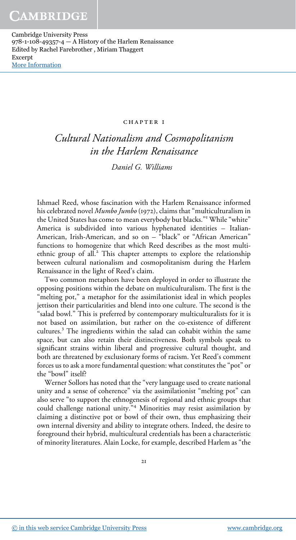#### chapter 1

# Cultural Nationalism and Cosmopolitanism in the Harlem Renaissance

Daniel G. Williams

Ishmael Reed, whose fascination with the Harlem Renaissance informed his celebrated novel Mumbo Jumbo (1972), claims that "multiculturalism in the United States has come to mean everybody but blacks." <sup>1</sup> While "white" America is subdivided into various hyphenated identities – Italian-American, Irish-American, and so on – "black" or "African American" functions to homogenize that which Reed describes as the most multiethnic group of all.<sup>2</sup> This chapter attempts to explore the relationship between cultural nationalism and cosmopolitanism during the Harlem Renaissance in the light of Reed's claim.

Two common metaphors have been deployed in order to illustrate the opposing positions within the debate on multiculturalism. The first is the "melting pot," a metaphor for the assimilationist ideal in which peoples jettison their particularities and blend into one culture. The second is the "salad bowl." This is preferred by contemporary multiculturalists for it is not based on assimilation, but rather on the co-existence of different cultures.<sup>3</sup> The ingredients within the salad can cohabit within the same space, but can also retain their distinctiveness. Both symbols speak to significant strains within liberal and progressive cultural thought, and both are threatened by exclusionary forms of racism. Yet Reed's comment forces us to ask a more fundamental question: what constitutes the "pot" or the "bowl" itself?

Werner Sollors has noted that the "very language used to create national unity and a sense of coherence" via the assimilationist "melting pot" can also serve "to support the ethnogenesis of regional and ethnic groups that could challenge national unity." <sup>4</sup> Minorities may resist assimilation by claiming a distinctive pot or bowl of their own, thus emphasizing their own internal diversity and ability to integrate others. Indeed, the desire to foreground their hybrid, multicultural credentials has been a characteristic of minority literatures. Alain Locke, for example, described Harlem as "the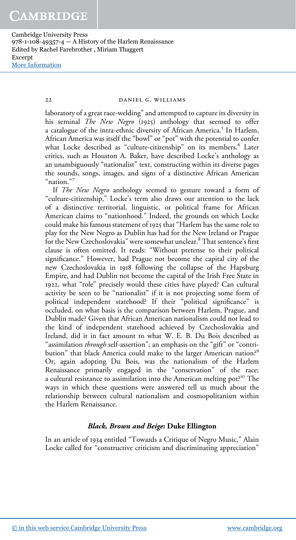22 DANIEL G. WILLIAMS

laboratory of a great race-welding" and attempted to capture its diversity in his seminal The New Negro (1925) anthology that seemed to offer a catalogue of the intra-ethnic diversity of African America.<sup>5</sup> In Harlem, African America was itself the "bowl" or "pot" with the potential to confer what Locke described as "culture-citizenship" on its members.<sup>6</sup> Later critics, such as Houston A. Baker, have described Locke's anthology as an unambiguously "nationalist" text, constructing within its diverse pages the sounds, songs, images, and signs of a distinctive African American "nation." 7

If The New Negro anthology seemed to gesture toward a form of "culture-citizenship," Locke's term also draws our attention to the lack of a distinctive territorial, linguistic, or political frame for African American claims to "nationhood." Indeed, the grounds on which Locke could make his famous statement of 1925 that "Harlem has the same role to play for the New Negro as Dublin has had for the New Ireland or Prague for the New Czechoslovakia" were somewhat unclear.<sup>8</sup> That sentence's first clause is often omitted. It reads: "Without pretense to their political significance." However, had Prague not become the capital city of the new Czechoslovakia in 1918 following the collapse of the Hapsburg Empire, and had Dublin not become the capital of the Irish Free State in 1922, what "role" precisely would these cities have played? Can cultural activity be seen to be "nationalist" if it is not projecting some form of political independent statehood? If their "political significance" is occluded, on what basis is the comparison between Harlem, Prague, and Dublin made? Given that African American nationalism could not lead to the kind of independent statehood achieved by Czechoslovakia and Ireland, did it in fact amount to what W. E. B. Du Bois described as "assimilation *through* self-assertion"; an emphasis on the "gift" or "contribution" that black America could make to the larger American nation?<sup>9</sup> Or, again adopting Du Bois, was the nationalism of the Harlem Renaissance primarily engaged in the "conservation" of the race; a cultural resistance to assimilation into the American melting pot?<sup>10</sup> The ways in which these questions were answered tell us much about the relationship between cultural nationalism and cosmopolitanism within the Harlem Renaissance.

# Black, Brown and Beige: Duke Ellington

In an article of 1934 entitled "Towards a Critique of Negro Music," Alain Locke called for "constructive criticism and discriminating appreciation"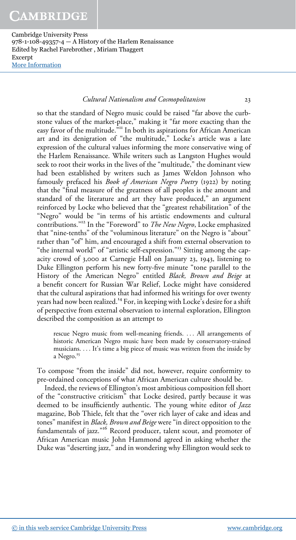# Cultural Nationalism and Cosmopolitanism 23

so that the standard of Negro music could be raised "far above the curbstone values of the market-place," making it "far more exacting than the easy favor of the multitude." <sup>11</sup> In both its aspirations for African American art and its denigration of "the multitude," Locke's article was a late expression of the cultural values informing the more conservative wing of the Harlem Renaissance. While writers such as Langston Hughes would seek to root their works in the lives of the "multitude," the dominant view had been established by writers such as James Weldon Johnson who famously prefaced his Book of American Negro Poetry (1922) by noting that the "final measure of the greatness of all peoples is the amount and standard of the literature and art they have produced," an argument reinforced by Locke who believed that the "greatest rehabilitation" of the "Negro" would be "in terms of his artistic endowments and cultural contributions."<sup>12</sup> In the "Foreword" to *The New Negro*, Locke emphasized that "nine-tenths" of the "voluminous literature" on the Negro is "about" rather than "of" him, and encouraged a shift from external observation to "the internal world" of "artistic self-expression."<sup>13</sup> Sitting among the capacity crowd of 3,000 at Carnegie Hall on January 23, 1943, listening to Duke Ellington perform his new forty-five minute "tone parallel to the History of the American Negro" entitled Black, Brown and Beige at a benefit concert for Russian War Relief, Locke might have considered that the cultural aspirations that had informed his writings for over twenty years had now been realized.<sup>14</sup> For, in keeping with Locke's desire for a shift of perspective from external observation to internal exploration, Ellington described the composition as an attempt to

rescue Negro music from well-meaning friends. ... All arrangements of historic American Negro music have been made by conservatory-trained musicians. ... It's time a big piece of music was written from the inside by a Negro.<sup>15</sup>

To compose "from the inside" did not, however, require conformity to pre-ordained conceptions of what African American culture should be.

Indeed, the reviews of Ellington's most ambitious composition fell short of the "constructive criticism" that Locke desired, partly because it was deemed to be insufficiently authentic. The young white editor of *Jazz* magazine, Bob Thiele, felt that the "over rich layer of cake and ideas and tones" manifest in Black, Brown and Beige were "in direct opposition to the fundamentals of jazz." <sup>16</sup> Record producer, talent scout, and promoter of African American music John Hammond agreed in asking whether the Duke was "deserting jazz," and in wondering why Ellington would seek to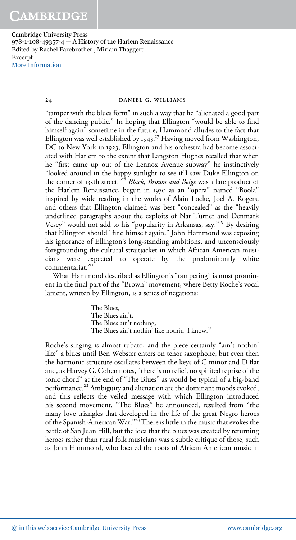24 DANIEL G. WILLIAMS

"tamper with the blues form" in such a way that he "alienated a good part of the dancing public." In hoping that Ellington "would be able to find himself again" sometime in the future, Hammond alludes to the fact that Ellington was well established by 1943.<sup>17</sup> Having moved from Washington, DC to New York in 1923, Ellington and his orchestra had become associated with Harlem to the extent that Langston Hughes recalled that when he "first came up out of the Lennox Avenue subway" he instinctively "looked around in the happy sunlight to see if I saw Duke Ellington on the corner of 135th street.<sup>318</sup> Black, Brown and Beige was a late product of the Harlem Renaissance, begun in 1930 as an "opera" named "Boola" inspired by wide reading in the works of Alain Locke, Joel A. Rogers, and others that Ellington claimed was best "concealed" as the "heavily underlined paragraphs about the exploits of Nat Turner and Denmark Vesey" would not add to his "popularity in Arkansas, say." <sup>19</sup> By desiring that Ellington should "find himself again," John Hammond was exposing his ignorance of Ellington's long-standing ambitions, and unconsciously foregrounding the cultural straitjacket in which African American musicians were expected to operate by the predominantly white commentariat.<sup>20</sup>

What Hammond described as Ellington's "tampering" is most prominent in the final part of the "Brown" movement, where Betty Roche's vocal lament, written by Ellington, is a series of negations:

> The Blues, The Blues ain't, The Blues ain't nothing, The Blues ain't nothin' like nothin' I know.<sup>21</sup>

Roche's singing is almost rubato, and the piece certainly "ain't nothin' like" a blues until Ben Webster enters on tenor saxophone, but even then the harmonic structure oscillates between the keys of C minor and D flat and, as Harvey G. Cohen notes, "there is no relief, no spirited reprise of the tonic chord" at the end of "The Blues" as would be typical of a big-band performance.<sup>22</sup> Ambiguity and alienation are the dominant moods evoked, and this reflects the veiled message with which Ellington introduced his second movement. "The Blues" he announced, resulted from "the many love triangles that developed in the life of the great Negro heroes of the Spanish-American War." <sup>23</sup> There is little in the music that evokes the battle of San Juan Hill, but the idea that the blues was created by returning heroes rather than rural folk musicians was a subtle critique of those, such as John Hammond, who located the roots of African American music in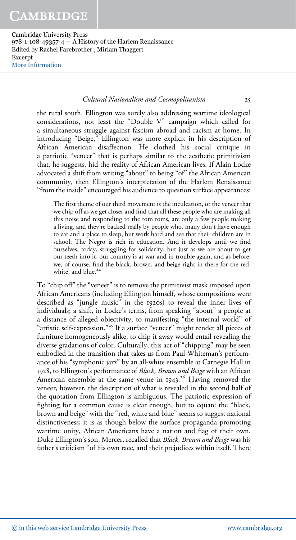# Cultural Nationalism and Cosmopolitanism 25

the rural south. Ellington was surely also addressing wartime ideological considerations, not least the "Double V" campaign which called for a simultaneous struggle against fascism abroad and racism at home. In introducing "Beige," Ellington was more explicit in his description of African American disaffection. He clothed his social critique in a patriotic "veneer" that is perhaps similar to the aesthetic primitivism that, he suggests, hid the reality of African American lives. If Alain Locke advocated a shift from writing "about" to being "of" the African American community, then Ellington's interpretation of the Harlem Renaissance "from the inside" encouraged his audience to question surface appearances:

The first theme of our third movement is the inculcation, or the veneer that we chip off as we get closer and find that all these people who are making all this noise and responding to the tom toms, are only a few people making a living, and they're backed really by people who, many don't have enough to eat and a place to sleep, but work hard and see that their children are in school. The Negro is rich in education. And it develops until we find ourselves, today, struggling for solidarity, but just as we are about to get our teeth into it, our country is at war and in trouble again, and as before, we, of course, find the black, brown, and beige right in there for the red, white, and blue.<sup>24</sup>

To "chip off" the "veneer" is to remove the primitivist mask imposed upon African Americans (including Ellington himself, whose compositions were described as "jungle music" in the 1920s) to reveal the inner lives of individuals; a shift, in Locke's terms, from speaking "about" a people at a distance of alleged objectivity, to manifesting "the internal world" of "artistic self-expression."<sup>25</sup> If a surface "veneer" might render all pieces of furniture homogeneously alike, to chip it away would entail revealing the diverse gradations of color. Culturally, this act of "chipping" may be seen embodied in the transition that takes us from Paul Whiteman's performance of his "symphonic jazz" by an all-white ensemble at Carnegie Hall in 1928, to Ellington's performance of Black, Brown and Beige with an African American ensemble at the same venue in 1943. <sup>26</sup> Having removed the veneer, however, the description of what is revealed in the second half of the quotation from Ellington is ambiguous. The patriotic expression of fighting for a common cause is clear enough, but to equate the "black, brown and beige" with the "red, white and blue" seems to suggest national distinctiveness; it is as though below the surface propaganda promoting wartime unity, African Americans have a nation and flag of their own. Duke Ellington's son, Mercer, recalled that Black, Brown and Beige was his father's criticism "of his own race, and their prejudices within itself. There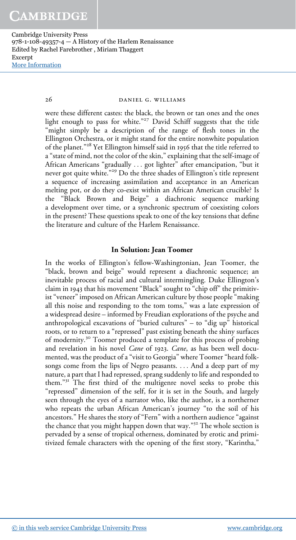26 DANIEL G. WILLIAMS

were these different castes: the black, the brown or tan ones and the ones light enough to pass for white." <sup>27</sup> David Schiff suggests that the title "might simply be a description of the range of flesh tones in the Ellington Orchestra, or it might stand for the entire nonwhite population of the planet." <sup>28</sup> Yet Ellington himself said in 1956 that the title referred to a "state of mind, not the color of the skin," explaining that the self-image of African Americans "gradually ... got lighter" after emancipation, "but it never got quite white." <sup>29</sup> Do the three shades of Ellington's title represent a sequence of increasing assimilation and acceptance in an American melting pot, or do they co-exist within an African American crucible? Is the "Black Brown and Beige" a diachronic sequence marking a development over time, or a synchronic spectrum of coexisting colors in the present? These questions speak to one of the key tensions that define the literature and culture of the Harlem Renaissance.

## In Solution: Jean Toomer

In the works of Ellington's fellow-Washingtonian, Jean Toomer, the "black, brown and beige" would represent a diachronic sequence; an inevitable process of racial and cultural intermingling. Duke Ellington's claim in 1943 that his movement "Black" sought to "chip off" the primitivist "veneer" imposed on African American culture by those people "making all this noise and responding to the tom toms," was a late expression of a widespread desire – informed by Freudian explorations of the psyche and anthropological excavations of "buried cultures" – to "dig up" historical roots, or to return to a "repressed" past existing beneath the shiny surfaces of modernity.<sup>30</sup> Toomer produced a template for this process of probing and revelation in his novel *Cane* of 1923. *Cane*, as has been well documented, was the product of a "visit to Georgia" where Toomer "heard folksongs come from the lips of Negro peasants. ... And a deep part of my nature, a part that I had repressed, sprang suddenly to life and responded to them."<sup>31</sup> The first third of the multigenre novel seeks to probe this "repressed" dimension of the self, for it is set in the South, and largely seen through the eyes of a narrator who, like the author, is a northerner who repeats the urban African American's journey "to the soil of his ancestors." He shares the story of "Fern" with a northern audience "against the chance that you might happen down that way." <sup>32</sup> The whole section is pervaded by a sense of tropical otherness, dominated by erotic and primitivized female characters with the opening of the first story, "Karintha,"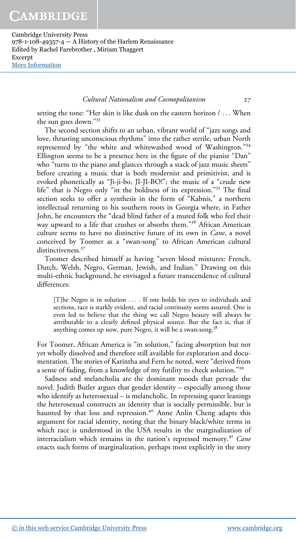## Cultural Nationalism and Cosmopolitanism 27

setting the tone: "Her skin is like dusk on the eastern horizon / ... When the sun goes down." 33

The second section shifts to an urban, vibrant world of "jazz songs and love, thrusting unconscious rhythms" into the rather sterile, urban North represented by "the white and whitewashed wood of Washington."34 Ellington seems to be a presence here in the figure of the pianist "Dan" who "turns to the piano and glances through a stack of jazz music sheets" before creating a music that is both modernist and primitivist, and is evoked phonetically as "Ji-ji-bo, JI-JI-BO!"; the music of a "crude new life" that is Negro only "in the boldness of its expression." <sup>35</sup> The final section seeks to offer a synthesis in the form of "Kabnis," a northern intellectual returning to his southern roots in Georgia where, in Father John, he encounters the "dead blind father of a muted folk who feel their way upward to a life that crushes or absorbs them." <sup>36</sup> African American culture seems to have no distinctive future of its own in Cane, a novel conceived by Toomer as a "swan-song" to African American cultural distinctiveness.<sup>37</sup>

Toomer described himself as having "seven blood mixtures: French, Dutch, Welsh, Negro, German, Jewish, and Indian." Drawing on this multi-ethnic background, he envisaged a future transcendence of cultural differences:

[T]he Negro is in solution ... . If one holds his eyes to individuals and sections, race is starkly evident, and racial continuity seems assured. One is even led to believe that the thing we call Negro beauty will always be attributable to a clearly defined physical source. But the fact is, that if anything comes up now, pure Negro, it will be a swan-song.<sup>38</sup>

For Toomer, African America is "in solution," facing absorption but not yet wholly dissolved and therefore still available for exploration and documentation. The stories of Karintha and Fern he noted, were "derived from a sense of fading, from a knowledge of my futility to check solution."<sup>39</sup>

Sadness and melancholia are the dominant moods that pervade the novel. Judith Butler argues that gender identity – especially among those who identify as heterosexual – is melancholic. In repressing queer leanings the heterosexual constructs an identity that is socially permissible, but is haunted by that loss and repression.<sup>40</sup> Anne Anlin Cheng adapts this argument for racial identity, noting that the binary black/white terms in which race is understood in the USA results in the marginalization of interracialism which remains in the nation's repressed memory.<sup>41</sup> Cane enacts such forms of marginalization, perhaps most explicitly in the story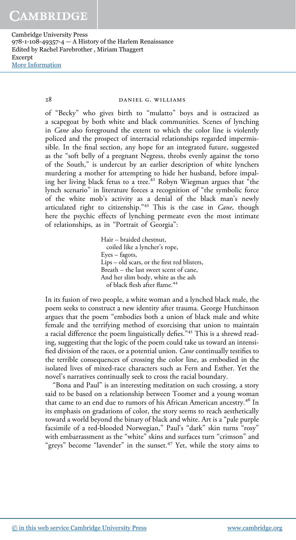28 DANIEL G. WILLIAMS

of "Becky" who gives birth to "mulatto" boys and is ostracized as a scapegoat by both white and black communities. Scenes of lynching in Cane also foreground the extent to which the color line is violently policed and the prospect of interracial relationships regarded impermissible. In the final section, any hope for an integrated future, suggested as the "soft belly of a pregnant Negress, throbs evenly against the torso of the South," is undercut by an earlier description of white lynchers murdering a mother for attempting to hide her husband, before impaling her living black fetus to a tree.<sup>42</sup> Robyn Wiegman argues that "the lynch scenario" in literature forces a recognition of "the symbolic force of the white mob's activity as a denial of the black man's newly articulated right to citizenship."<sup>43</sup> This is the case in *Cane*, though here the psychic effects of lynching permeate even the most intimate of relationships, as in "Portrait of Georgia":

> Hair – braided chestnut, coiled like a lyncher's rope, Eyes – fagots, Lips – old scars, or the first red blisters, Breath – the last sweet scent of cane, And her slim body, white as the ash of black flesh after flame. 44

In its fusion of two people, a white woman and a lynched black male, the poem seeks to construct a new identity after trauma. George Hutchinson argues that the poem "embodies both a union of black male and white female and the terrifying method of exorcising that union to maintain a racial difference the poem linguistically defies." <sup>45</sup> This is a shrewd reading, suggesting that the logic of the poem could take us toward an intensified division of the races, or a potential union. *Cane* continually testifies to the terrible consequences of crossing the color line, as embodied in the isolated lives of mixed-race characters such as Fern and Esther. Yet the novel's narratives continually seek to cross the racial boundary.

"Bona and Paul" is an interesting meditation on such crossing, a story said to be based on a relationship between Toomer and a young woman that came to an end due to rumors of his African American ancestry.<sup>46</sup> In its emphasis on gradations of color, the story seems to reach aesthetically toward a world beyond the binary of black and white. Art is a "pale purple facsimile of a red-blooded Norwegian," Paul's "dark" skin turns "rosy" with embarrassment as the "white" skins and surfaces turn "crimson" and "greys" become "lavender" in the sunset.<sup>47</sup> Yet, while the story aims to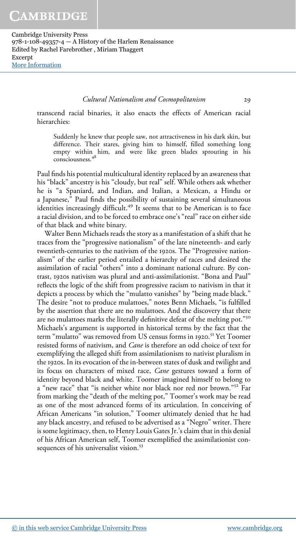Cultural Nationalism and Cosmopolitanism 29

transcend racial binaries, it also enacts the effects of American racial hierarchies:

Suddenly he knew that people saw, not attractiveness in his dark skin, but difference. Their stares, giving him to himself, filled something long empty within him, and were like green blades sprouting in his consciousness.<sup>48</sup>

Paul finds his potential multicultural identity replaced by an awareness that his "black" ancestry is his "cloudy, but real" self. While others ask whether he is "a Spaniard, and Indian, and Italian, a Mexican, a Hindu or a Japanese," Paul finds the possibility of sustaining several simultaneous identities increasingly difficult.<sup>49</sup> It seems that to be American is to face a racial division, and to be forced to embrace one's "real" race on either side of that black and white binary.

Walter Benn Michaels reads the story as a manifestation of a shift that he traces from the "progressive nationalism" of the late nineteenth- and early twentieth-centuries to the nativism of the 1920s. The "Progressive nationalism" of the earlier period entailed a hierarchy of races and desired the assimilation of racial "others" into a dominant national culture. By contrast, 1920s nativism was plural and anti-assimilationist. "Bona and Paul" reflects the logic of the shift from progressive racism to nativism in that it depicts a process by which the "mulatto vanishes" by "being made black." The desire "not to produce mulattoes," notes Benn Michaels, "is fulfilled by the assertion that there are no mulattoes. And the discovery that there are no mulattoes marks the literally definitive defeat of the melting pot."<sup>50</sup> Michaels's argument is supported in historical terms by the fact that the term "mulatto" was removed from US census forms in 1920. <sup>51</sup> Yet Toomer resisted forms of nativism, and *Cane* is therefore an odd choice of text for exemplifying the alleged shift from assimilationism to nativist pluralism in the 1920s. In its evocation of the in-between states of dusk and twilight and its focus on characters of mixed race, *Cane* gestures toward a form of identity beyond black and white. Toomer imagined himself to belong to a "new race" that "is neither white nor black nor red nor brown."<sup>52</sup> Far from marking the "death of the melting pot," Toomer's work may be read as one of the most advanced forms of its articulation. In conceiving of African Americans "in solution," Toomer ultimately denied that he had any black ancestry, and refused to be advertised as a "Negro" writer. There is some legitimacy, then, to Henry Louis Gates Jr.'s claim that in this denial of his African American self, Toomer exemplified the assimilationist consequences of his universalist vision.<sup>53</sup>